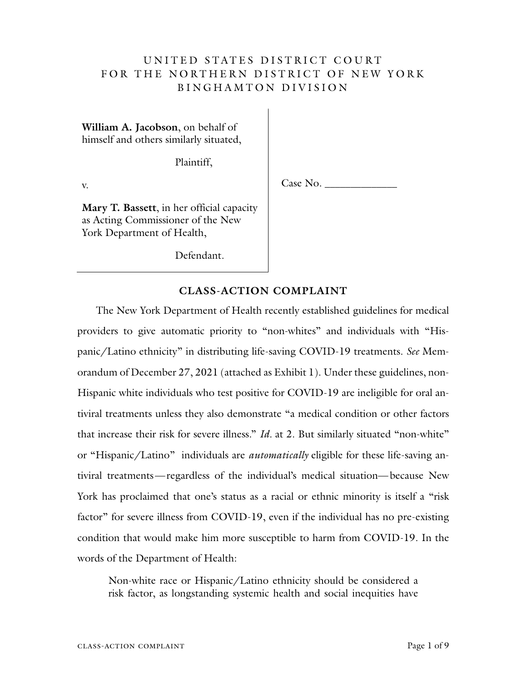# UNITED STATES DISTRICT COURT FOR THE NORTHERN DISTRICT OF NEW YORK BINGHAMTON DIVISION

**William A. Jacobson**, on behalf of himself and others similarly situated,

Plaintiff,

v.

Case No.

**Mary T. Bassett**, in her official capacity as Acting Commissioner of the New York Department of Health,

Defendant.

## **CLASS-ACTION COMPLAINT**

The New York Department of Health recently established guidelines for medical providers to give automatic priority to "non-whites" and individuals with "Hispanic/Latino ethnicity" in distributing life-saving COVID-19 treatments. *See* Memorandum of December 27, 2021 (attached as Exhibit 1). Under these guidelines, non-Hispanic white individuals who test positive for COVID-19 are ineligible for oral antiviral treatments unless they also demonstrate "a medical condition or other factors that increase their risk for severe illness." *Id.* at 2. But similarly situated "non-white" or "Hispanic/Latino" individuals are *automatically* eligible for these life-saving antiviral treatments—regardless of the individual's medical situation—because New York has proclaimed that one's status as a racial or ethnic minority is itself a "risk factor" for severe illness from COVID-19, even if the individual has no pre-existing condition that would make him more susceptible to harm from COVID-19. In the words of the Department of Health:

Non-white race or Hispanic/Latino ethnicity should be considered a risk factor, as longstanding systemic health and social inequities have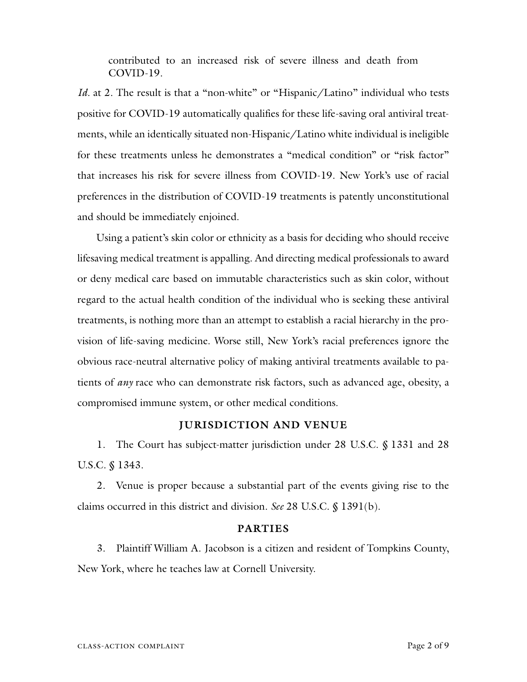contributed to an increased risk of severe illness and death from COVID-19.

*Id.* at 2. The result is that a "non-white" or "Hispanic/Latino" individual who tests positive for COVID-19 automatically qualifies for these life-saving oral antiviral treatments, while an identically situated non-Hispanic/Latino white individual is ineligible for these treatments unless he demonstrates a "medical condition" or "risk factor" that increases his risk for severe illness from COVID-19. New York's use of racial preferences in the distribution of COVID-19 treatments is patently unconstitutional and should be immediately enjoined.

Using a patient's skin color or ethnicity as a basis for deciding who should receive lifesaving medical treatment is appalling. And directing medical professionals to award or deny medical care based on immutable characteristics such as skin color, without regard to the actual health condition of the individual who is seeking these antiviral treatments, is nothing more than an attempt to establish a racial hierarchy in the provision of life-saving medicine. Worse still, New York's racial preferences ignore the obvious race-neutral alternative policy of making antiviral treatments available to patients of *any* race who can demonstrate risk factors, such as advanced age, obesity, a compromised immune system, or other medical conditions.

#### **JURISDICTION AND VENUE**

1. The Court has subject-matter jurisdiction under 28 U.S.C. § 1331 and 28 U.S.C. § 1343.

2. Venue is proper because a substantial part of the events giving rise to the claims occurred in this district and division. *See* 28 U.S.C. § 1391(b).

#### **PARTIES**

3. Plaintiff William A. Jacobson is a citizen and resident of Tompkins County, New York, where he teaches law at Cornell University.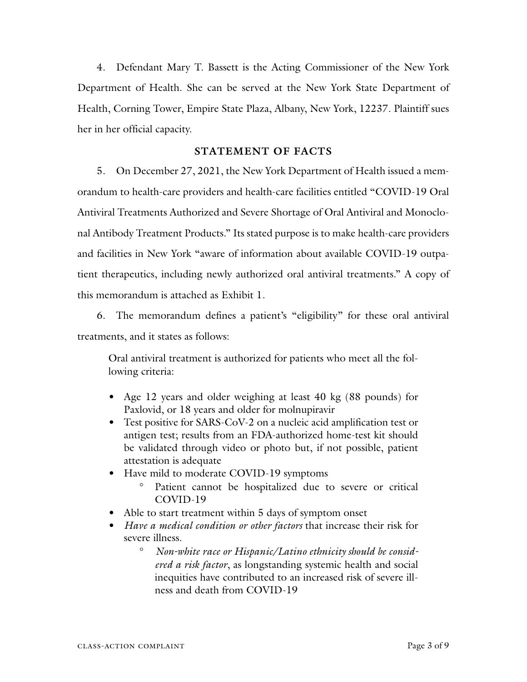4. Defendant Mary T. Bassett is the Acting Commissioner of the New York Department of Health. She can be served at the New York State Department of Health, Corning Tower, Empire State Plaza, Albany, New York, 12237. Plaintiff sues her in her official capacity.

### **STATEMENT OF FACTS**

5. On December 27, 2021, the New York Department of Health issued a memorandum to health-care providers and health-care facilities entitled "COVID-19 Oral Antiviral Treatments Authorized and Severe Shortage of Oral Antiviral and Monoclonal Antibody Treatment Products." Its stated purpose is to make health-care providers and facilities in New York "aware of information about available COVID-19 outpatient therapeutics, including newly authorized oral antiviral treatments." A copy of this memorandum is attached as Exhibit 1.

6. The memorandum defines a patient's "eligibility" for these oral antiviral treatments, and it states as follows:

Oral antiviral treatment is authorized for patients who meet all the following criteria:

- Age 12 years and older weighing at least 40 kg (88 pounds) for Paxlovid, or 18 years and older for molnupiravir
- Test positive for SARS-CoV-2 on a nucleic acid amplification test or antigen test; results from an FDA-authorized home-test kit should be validated through video or photo but, if not possible, patient attestation is adequate
- Have mild to moderate COVID-19 symptoms
	- ° Patient cannot be hospitalized due to severe or critical COVID-19
- Able to start treatment within 5 days of symptom onset
- *Have a medical condition or other factors* that increase their risk for severe illness.
	- ° *Non-white race or Hispanic/Latino ethnicity should be considered a risk factor*, as longstanding systemic health and social inequities have contributed to an increased risk of severe illness and death from COVID-19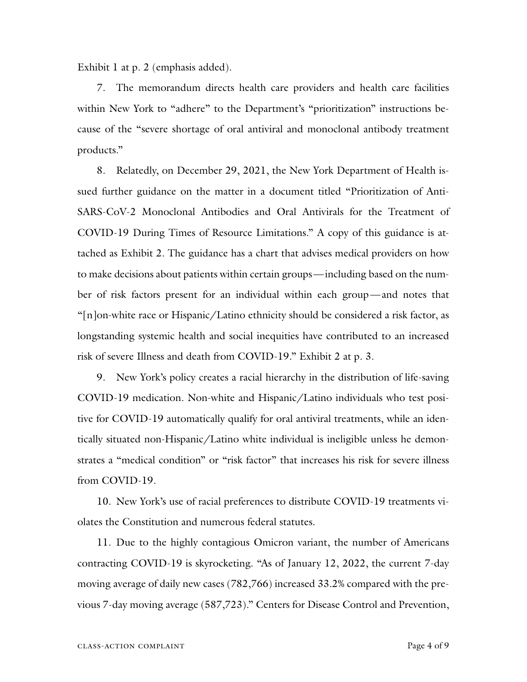Exhibit 1 at p. 2 (emphasis added).

7. The memorandum directs health care providers and health care facilities within New York to "adhere" to the Department's "prioritization" instructions because of the "severe shortage of oral antiviral and monoclonal antibody treatment products."

8. Relatedly, on December 29, 2021, the New York Department of Health issued further guidance on the matter in a document titled "Prioritization of Anti-SARS-CoV-2 Monoclonal Antibodies and Oral Antivirals for the Treatment of COVID-19 During Times of Resource Limitations." A copy of this guidance is attached as Exhibit 2. The guidance has a chart that advises medical providers on how to make decisions about patients within certain groups—including based on the number of risk factors present for an individual within each group—and notes that "[n]on-white race or Hispanic/Latino ethnicity should be considered a risk factor, as longstanding systemic health and social inequities have contributed to an increased risk of severe Illness and death from COVID-19." Exhibit 2 at p. 3.

9. New York's policy creates a racial hierarchy in the distribution of life-saving COVID-19 medication. Non-white and Hispanic/Latino individuals who test positive for COVID-19 automatically qualify for oral antiviral treatments, while an identically situated non-Hispanic/Latino white individual is ineligible unless he demonstrates a "medical condition" or "risk factor" that increases his risk for severe illness from COVID-19.

10. New York's use of racial preferences to distribute COVID-19 treatments violates the Constitution and numerous federal statutes.

11. Due to the highly contagious Omicron variant, the number of Americans contracting COVID-19 is skyrocketing. "As of January 12, 2022, the current 7-day moving average of daily new cases (782,766) increased 33.2% compared with the previous 7-day moving average (587,723)." Centers for Disease Control and Prevention,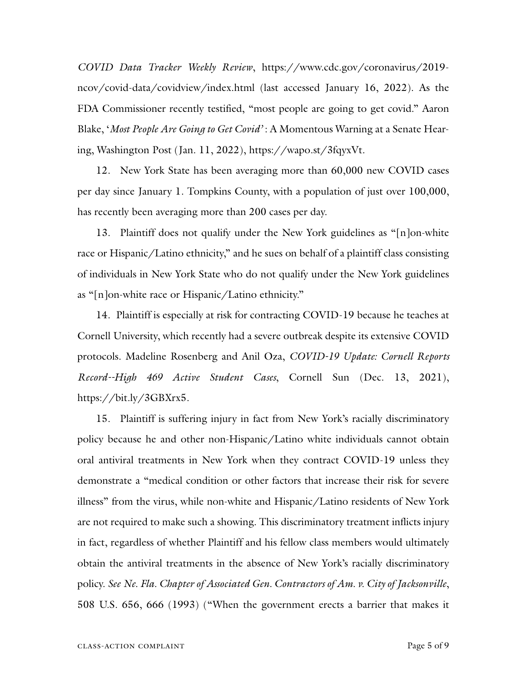*COVID Data Tracker Weekly Review*, https://www.cdc.gov/coronavirus/2019 ncov/covid-data/covidview/index.html (last accessed January 16, 2022). As the FDA Commissioner recently testified, "most people are going to get covid." Aaron Blake, '*Most People Are Going to Get Covid'* : A Momentous Warning at a Senate Hearing, Washington Post (Jan. 11, 2022), https://wapo.st/3fqyxVt.

12. New York State has been averaging more than 60,000 new COVID cases per day since January 1. Tompkins County, with a population of just over 100,000, has recently been averaging more than 200 cases per day.

13. Plaintiff does not qualify under the New York guidelines as "[n]on-white race or Hispanic/Latino ethnicity," and he sues on behalf of a plaintiff class consisting of individuals in New York State who do not qualify under the New York guidelines as "[n]on-white race or Hispanic/Latino ethnicity."

14. Plaintiff is especially at risk for contracting COVID-19 because he teaches at Cornell University, which recently had a severe outbreak despite its extensive COVID protocols. Madeline Rosenberg and Anil Oza, *COVID-19 Update: Cornell Reports Record--High 469 Active Student Cases*, Cornell Sun (Dec. 13, 2021), https://bit.ly/3GBXrx5.

15. Plaintiff is suffering injury in fact from New York's racially discriminatory policy because he and other non-Hispanic/Latino white individuals cannot obtain oral antiviral treatments in New York when they contract COVID-19 unless they demonstrate a "medical condition or other factors that increase their risk for severe illness" from the virus, while non-white and Hispanic/Latino residents of New York are not required to make such a showing. This discriminatory treatment inflicts injury in fact, regardless of whether Plaintiff and his fellow class members would ultimately obtain the antiviral treatments in the absence of New York's racially discriminatory policy. *See Ne. Fla. Chapter of Associated Gen. Contractors of Am. v. City of Jacksonville*, 508 U.S. 656, 666 (1993) ("When the government erects a barrier that makes it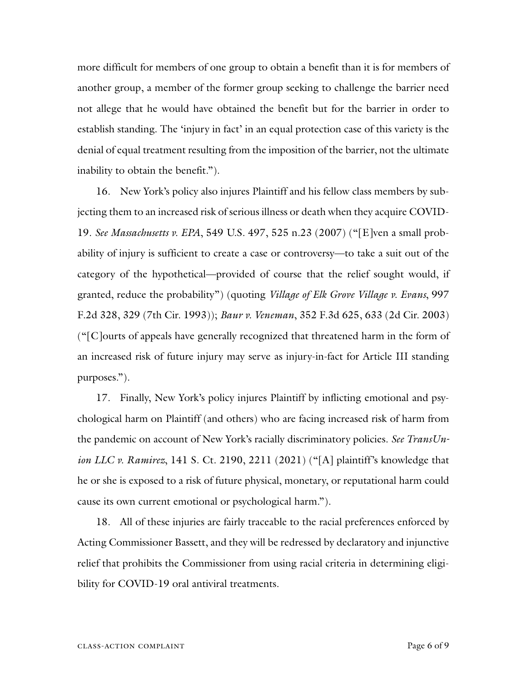more difficult for members of one group to obtain a benefit than it is for members of another group, a member of the former group seeking to challenge the barrier need not allege that he would have obtained the benefit but for the barrier in order to establish standing. The 'injury in fact' in an equal protection case of this variety is the denial of equal treatment resulting from the imposition of the barrier, not the ultimate inability to obtain the benefit.").

16. New York's policy also injures Plaintiff and his fellow class members by subjecting them to an increased risk of serious illness or death when they acquire COVID-19. *See Massachusetts v. EPA*, 549 U.S. 497, 525 n.23 (2007) ("[E]ven a small probability of injury is sufficient to create a case or controversy—to take a suit out of the category of the hypothetical—provided of course that the relief sought would, if granted, reduce the probability") (quoting *Village of Elk Grove Village v. Evans*, 997 F.2d 328, 329 (7th Cir. 1993)); *Baur v. Veneman*, 352 F.3d 625, 633 (2d Cir. 2003) ("[C]ourts of appeals have generally recognized that threatened harm in the form of an increased risk of future injury may serve as injury-in-fact for Article III standing purposes.").

17. Finally, New York's policy injures Plaintiff by inflicting emotional and psychological harm on Plaintiff (and others) who are facing increased risk of harm from the pandemic on account of New York's racially discriminatory policies. *See TransUnion LLC v. Ramirez*, 141 S. Ct. 2190, 2211 (2021) ("[A] plaintiff's knowledge that he or she is exposed to a risk of future physical, monetary, or reputational harm could cause its own current emotional or psychological harm.").

18. All of these injuries are fairly traceable to the racial preferences enforced by Acting Commissioner Bassett, and they will be redressed by declaratory and injunctive relief that prohibits the Commissioner from using racial criteria in determining eligibility for COVID-19 oral antiviral treatments.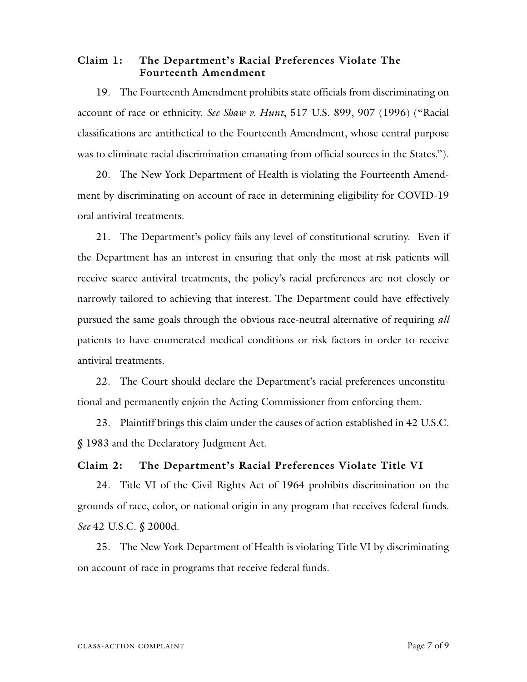### **Claim 1: The Department's Racial Preferences Violate The Fourteenth Amendment**

19. The Fourteenth Amendment prohibits state officials from discriminating on account of race or ethnicity. *See Shaw v. Hunt*, 517 U.S. 899, 907 (1996) ("Racial classifications are antithetical to the Fourteenth Amendment, whose central purpose was to eliminate racial discrimination emanating from official sources in the States.").

20. The New York Department of Health is violating the Fourteenth Amendment by discriminating on account of race in determining eligibility for COVID-19 oral antiviral treatments.

21. The Department's policy fails any level of constitutional scrutiny. Even if the Department has an interest in ensuring that only the most at-risk patients will receive scarce antiviral treatments, the policy's racial preferences are not closely or narrowly tailored to achieving that interest. The Department could have effectively pursued the same goals through the obvious race-neutral alternative of requiring *all*  patients to have enumerated medical conditions or risk factors in order to receive antiviral treatments.

22. The Court should declare the Department's racial preferences unconstitutional and permanently enjoin the Acting Commissioner from enforcing them.

23. Plaintiff brings this claim under the causes of action established in 42 U.S.C. § 1983 and the Declaratory Judgment Act.

### **Claim 2: The Department's Racial Preferences Violate Title VI**

24. Title VI of the Civil Rights Act of 1964 prohibits discrimination on the grounds of race, color, or national origin in any program that receives federal funds. *See* 42 U.S.C. § 2000d.

25. The New York Department of Health is violating Title VI by discriminating on account of race in programs that receive federal funds.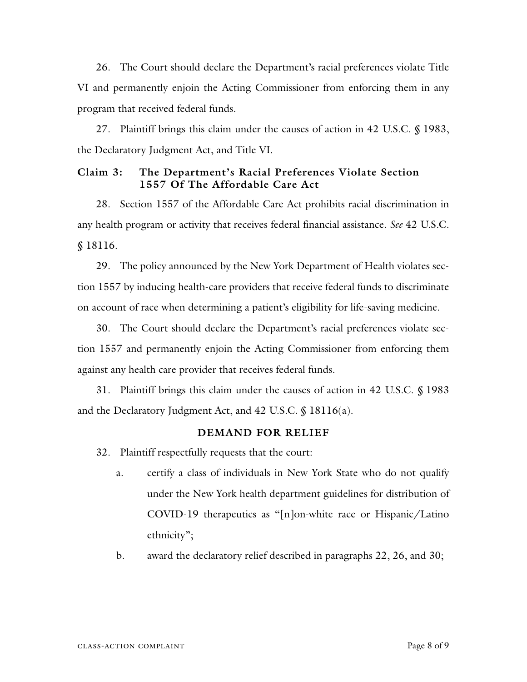26. The Court should declare the Department's racial preferences violate Title VI and permanently enjoin the Acting Commissioner from enforcing them in any program that received federal funds.

27. Plaintiff brings this claim under the causes of action in 42 U.S.C. § 1983, the Declaratory Judgment Act, and Title VI.

### **Claim 3: The Department's Racial Preferences Violate Section 1557 Of The Affordable Care Act**

28. Section 1557 of the Affordable Care Act prohibits racial discrimination in any health program or activity that receives federal financial assistance. *See* 42 U.S.C. § 18116.

29. The policy announced by the New York Department of Health violates section 1557 by inducing health-care providers that receive federal funds to discriminate on account of race when determining a patient's eligibility for life-saving medicine.

30. The Court should declare the Department's racial preferences violate section 1557 and permanently enjoin the Acting Commissioner from enforcing them against any health care provider that receives federal funds.

31. Plaintiff brings this claim under the causes of action in 42 U.S.C. § 1983 and the Declaratory Judgment Act, and 42 U.S.C. § 18116(a).

#### **DEMAND FOR RELIEF**

32. Plaintiff respectfully requests that the court:

- a. certify a class of individuals in New York State who do not qualify under the New York health department guidelines for distribution of COVID-19 therapeutics as "[n]on-white race or Hispanic/Latino ethnicity";
- b. award the declaratory relief described in paragraphs 22, 26, and 30;